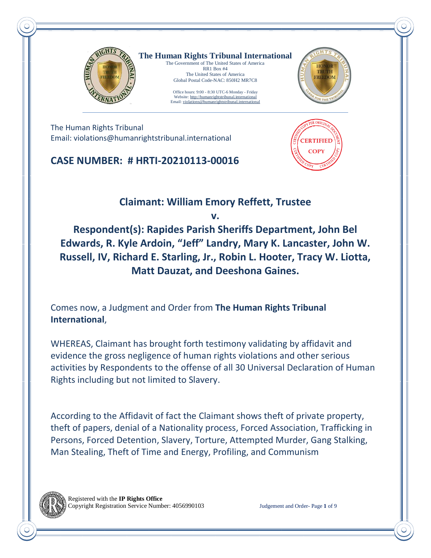

**The Human Rights Tribunal International** The Government of The United States of America RR1 Box #4 The United States of America

> Office hours: 9:00 - 8:30 UTC-6 Monday - Friday Website: http://humanrightstribunal.internation Email: violations@humanrightstribunal.international

Global Postal Code-NAC: 850H2 MR7C8



The Human Rights Tribunal Email: violations@humanrightstribunal.international

**CASE NUMBER: # HRTI-20210113-00016**



**Claimant: William Emory Reffett, Trustee** 

**v.** 

**Respondent(s): Rapides Parish Sheriffs Department, John Bel Edwards, R. Kyle Ardoin, "Jeff" Landry, Mary K. Lancaster, John W. Russell, IV, Richard E. Starling, Jr., Robin L. Hooter, Tracy W. Liotta, Matt Dauzat, and Deeshona Gaines.**

Comes now, a Judgment and Order from **The Human Rights Tribunal International**,

WHEREAS, Claimant has brought forth testimony validating by affidavit and evidence the gross negligence of human rights violations and other serious activities by Respondents to the offense of all 30 Universal Declaration of Human Rights including but not limited to Slavery.

According to the Affidavit of fact the Claimant shows theft of private property, theft of papers, denial of a Nationality process, Forced Association, Trafficking in Persons, Forced Detention, Slavery, Torture, Attempted Murder, Gang Stalking, Man Stealing, Theft of Time and Energy, Profiling, and Communism

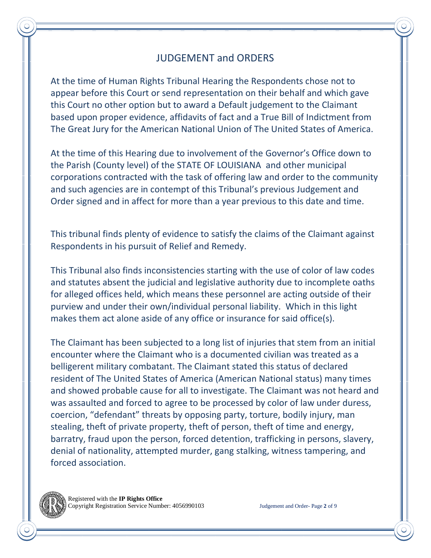# JUDGEMENT and ORDERS

At the time of Human Rights Tribunal Hearing the Respondents chose not to appear before this Court or send representation on their behalf and which gave this Court no other option but to award a Default judgement to the Claimant based upon proper evidence, affidavits of fact and a True Bill of Indictment from The Great Jury for the American National Union of The United States of America.

At the time of this Hearing due to involvement of the Governor's Office down to the Parish (County level) of the STATE OF LOUISIANA and other municipal corporations contracted with the task of offering law and order to the community and such agencies are in contempt of this Tribunal's previous Judgement and Order signed and in affect for more than a year previous to this date and time.

This tribunal finds plenty of evidence to satisfy the claims of the Claimant against Respondents in his pursuit of Relief and Remedy.

This Tribunal also finds inconsistencies starting with the use of color of law codes and statutes absent the judicial and legislative authority due to incomplete oaths for alleged offices held, which means these personnel are acting outside of their purview and under their own/individual personal liability. Which in this light makes them act alone aside of any office or insurance for said office(s).

The Claimant has been subjected to a long list of injuries that stem from an initial encounter where the Claimant who is a documented civilian was treated as a belligerent military combatant. The Claimant stated this status of declared resident of The United States of America (American National status) many times and showed probable cause for all to investigate. The Claimant was not heard and was assaulted and forced to agree to be processed by color of law under duress, coercion, "defendant" threats by opposing party, torture, bodily injury, man stealing, theft of private property, theft of person, theft of time and energy, barratry, fraud upon the person, forced detention, trafficking in persons, slavery, denial of nationality, attempted murder, gang stalking, witness tampering, and forced association.

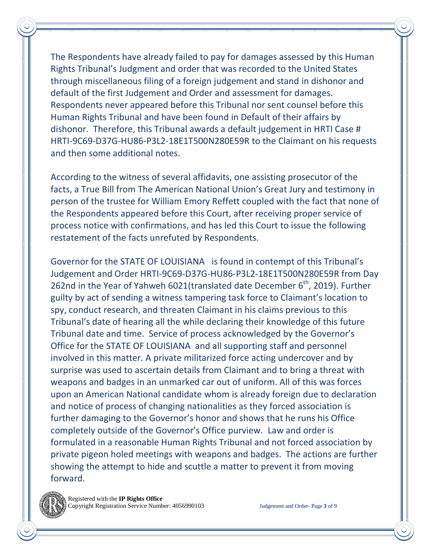The Respondents have already failed to pay for damages assessed by this Human Rights Tribunal's Judgment and order that was recorded to the United States through miscellaneous filing of a foreign judgement and stand in dishonor and default of the first Judgement and Order and assessment for damages. Respondents never appeared before this Tribunal nor sent counsel before this Human Rights Tribunal and have been found in Default of their affairs by dishonor. Therefore, this Tribunal awards a default judgement in HRTI Case # HRTI-9C69-D37G-HU86-P3L2-18E1T500N280E59R to the Claimant on his requests and then some additional notes.

According to the witness of several affidavits, one assisting prosecutor of the facts, a True Bill from The American National Union's Great Jury and testimony in person of the trustee for William Emory Reffett coupled with the fact that none of the Respondents appeared before this Court, after receiving proper service of process notice with confirmations, and has led this Court to issue the following restatement of the facts unrefuted by Respondents.

Governor for the STATE OF LOUISIANA is found in contempt of this Tribunal's Judgement and Order HRTI-9C69-D37G-HU86-P3L2-18E1T500N280E59R from Day 262nd in the Year of Yahweh 6021(translated date December  $6<sup>th</sup>$ , 2019). Further guilty by act of sending a witness tampering task force to Claimant's location to spy, conduct research, and threaten Claimant in his claims previous to this Tribunal's date of hearing all the while declaring their knowledge of this future Tribunal date and time. Service of process acknowledged by the Governor's Office for the STATE OF LOUISIANA and all supporting staff and personnel involved in this matter. A private militarized force acting undercover and by surprise was used to ascertain details from Claimant and to bring a threat with weapons and badges in an unmarked car out of uniform. All of this was forces upon an American National candidate whom is already foreign due to declaration and notice of process of changing nationalities as they forced association is further damaging to the Governor's honor and shows that he runs his Office completely outside of the Governor's Office purview. Law and order is formulated in a reasonable Human Rights Tribunal and not forced association by private pigeon holed meetings with weapons and badges. The actions are further showing the attempt to hide and scuttle a matter to prevent it from moving forward.

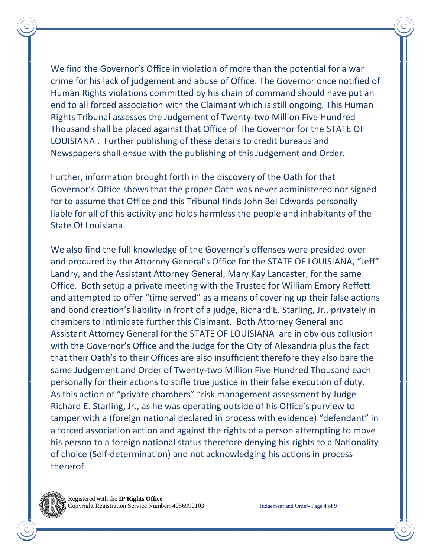We find the Governor's Office in violation of more than the potential for a war crime for his lack of judgement and abuse of Office. The Governor once notified of Human Rights violations committed by his chain of command should have put an end to all forced association with the Claimant which is still ongoing. This Human Rights Tribunal assesses the Judgement of Twenty-two Million Five Hundred Thousand shall be placed against that Office of The Governor for the STATE OF LOUISIANA . Further publishing of these details to credit bureaus and Newspapers shall ensue with the publishing of this Judgement and Order.

Further, information brought forth in the discovery of the Oath for that Governor's Office shows that the proper Oath was never administered nor signed for to assume that Office and this Tribunal finds John Bel Edwards personally liable for all of this activity and holds harmless the people and inhabitants of the State Of Louisiana.

We also find the full knowledge of the Governor's offenses were presided over and procured by the Attorney General's Office for the STATE OF LOUISIANA, "Jeff" Landry, and the Assistant Attorney General, Mary Kay Lancaster, for the same Office. Both setup a private meeting with the Trustee for William Emory Reffett and attempted to offer "time served" as a means of covering up their false actions and bond creation's liability in front of a judge, Richard E. Starling, Jr., privately in chambers to intimidate further this Claimant. Both Attorney General and Assistant Attorney General for the STATE OF LOUISIANA are in obvious collusion with the Governor's Office and the Judge for the City of Alexandria plus the fact that their Oath's to their Offices are also insufficient therefore they also bare the same Judgement and Order of Twenty-two Million Five Hundred Thousand each personally for their actions to stifle true justice in their false execution of duty. As this action of "private chambers" "risk management assessment by Judge Richard E. Starling, Jr., as he was operating outside of his Office's purview to tamper with a (foreign national declared in process with evidence) "defendant" in a forced association action and against the rights of a person attempting to move his person to a foreign national status therefore denying his rights to a Nationality of choice (Self-determination) and not acknowledging his actions in process thererof.

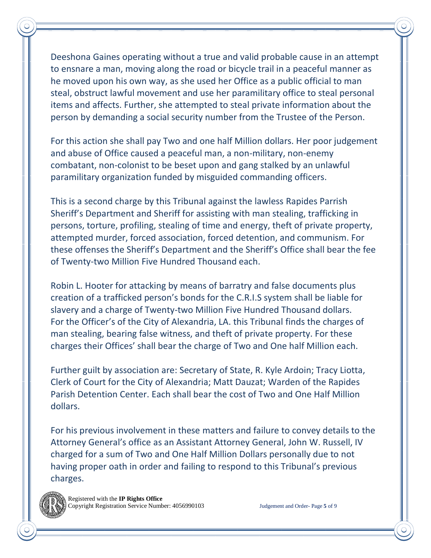Deeshona Gaines operating without a true and valid probable cause in an attempt to ensnare a man, moving along the road or bicycle trail in a peaceful manner as he moved upon his own way, as she used her Office as a public official to man steal, obstruct lawful movement and use her paramilitary office to steal personal items and affects. Further, she attempted to steal private information about the person by demanding a social security number from the Trustee of the Person.

For this action she shall pay Two and one half Million dollars. Her poor judgement and abuse of Office caused a peaceful man, a non-military, non-enemy combatant, non-colonist to be beset upon and gang stalked by an unlawful paramilitary organization funded by misguided commanding officers.

This is a second charge by this Tribunal against the lawless Rapides Parrish Sheriff's Department and Sheriff for assisting with man stealing, trafficking in persons, torture, profiling, stealing of time and energy, theft of private property, attempted murder, forced association, forced detention, and communism. For these offenses the Sheriff's Department and the Sheriff's Office shall bear the fee of Twenty-two Million Five Hundred Thousand each.

Robin L. Hooter for attacking by means of barratry and false documents plus creation of a trafficked person's bonds for the C.R.I.S system shall be liable for slavery and a charge of Twenty-two Million Five Hundred Thousand dollars. For the Officer's of the City of Alexandria, LA. this Tribunal finds the charges of man stealing, bearing false witness, and theft of private property. For these charges their Offices' shall bear the charge of Two and One half Million each.

Further guilt by association are: Secretary of State, R. Kyle Ardoin; Tracy Liotta, Clerk of Court for the City of Alexandria; Matt Dauzat; Warden of the Rapides Parish Detention Center. Each shall bear the cost of Two and One Half Million dollars.

For his previous involvement in these matters and failure to convey details to the Attorney General's office as an Assistant Attorney General, John W. Russell, IV charged for a sum of Two and One Half Million Dollars personally due to not having proper oath in order and failing to respond to this Tribunal's previous charges.

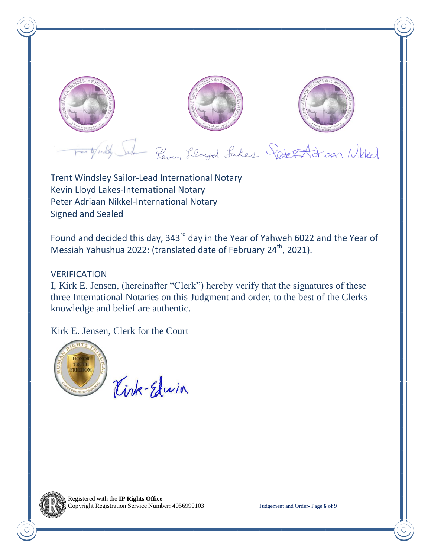

Trent Windsley Sailor-Lead International Notary Kevin Lloyd Lakes-International Notary Peter Adriaan Nikkel-International Notary Signed and Sealed

Found and decided this day, 343<sup>rd</sup> day in the Year of Yahweh 6022 and the Year of Messiah Yahushua 2022: (translated date of February 24<sup>th</sup>, 2021).

### VERIFICATION

I, Kirk E. Jensen, (hereinafter "Clerk") hereby verify that the signatures of these three International Notaries on this Judgment and order, to the best of the Clerks knowledge and belief are authentic.

Kirk E. Jensen, Clerk for the Court



Kink-Edwin

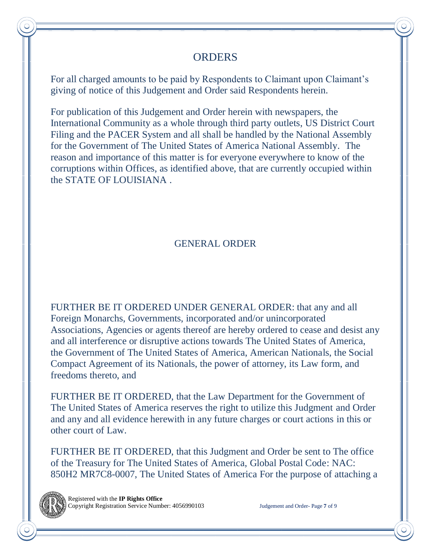## **ORDERS**

For all charged amounts to be paid by Respondents to Claimant upon Claimant's giving of notice of this Judgement and Order said Respondents herein.

For publication of this Judgement and Order herein with newspapers, the International Community as a whole through third party outlets, US District Court Filing and the PACER System and all shall be handled by the National Assembly for the Government of The United States of America National Assembly. The reason and importance of this matter is for everyone everywhere to know of the corruptions within Offices, as identified above, that are currently occupied within the STATE OF LOUISIANA .

# GENERAL ORDER

FURTHER BE IT ORDERED UNDER GENERAL ORDER: that any and all Foreign Monarchs, Governments, incorporated and/or unincorporated Associations, Agencies or agents thereof are hereby ordered to cease and desist any and all interference or disruptive actions towards The United States of America, the Government of The United States of America, American Nationals, the Social Compact Agreement of its Nationals, the power of attorney, its Law form, and freedoms thereto, and

FURTHER BE IT ORDERED, that the Law Department for the Government of The United States of America reserves the right to utilize this Judgment and Order and any and all evidence herewith in any future charges or court actions in this or other court of Law.

FURTHER BE IT ORDERED, that this Judgment and Order be sent to The office of the Treasury for The United States of America, Global Postal Code: NAC: 850H2 MR7C8-0007, The United States of America For the purpose of attaching a

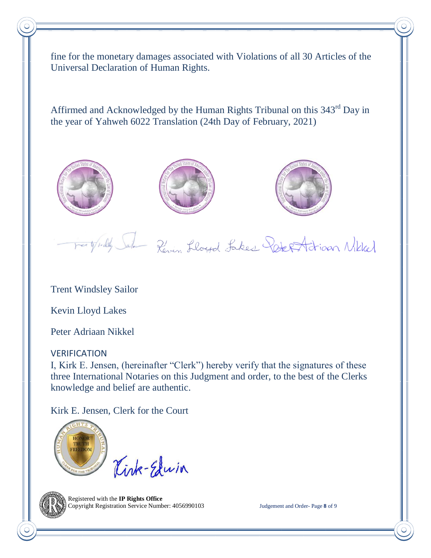fine for the monetary damages associated with Violations of all 30 Articles of the Universal Declaration of Human Rights.

Affirmed and Acknowledged by the Human Rights Tribunal on this 343rd Day in the year of Yahweh 6022 Translation (24th Day of February, 2021)







Forty Publy Jule Revin Lloyd Lakes Redes Adrian Nikler

Trent Windsley Sailor

Kevin Lloyd Lakes

Peter Adriaan Nikkel

## VERIFICATION

I, Kirk E. Jensen, (hereinafter "Clerk") hereby verify that the signatures of these three International Notaries on this Judgment and order, to the best of the Clerks knowledge and belief are authentic.

Kirk E. Jensen, Clerk for the Court



Kink-Elwin



 Registered with the **IP Rights Office** Copyright Registration Service Number: 4056990103 Judgement and Order- Page **8** of 9